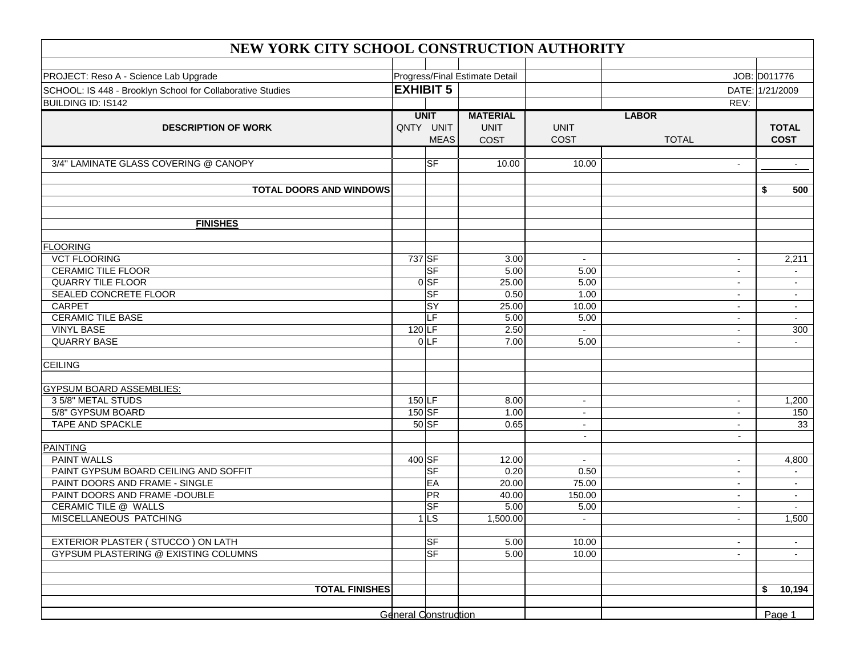| NEW YORK CITY SCHOOL CONSTRUCTION AUTHORITY                |                                |                                         |                                        |                                  |                              |                             |  |  |  |  |
|------------------------------------------------------------|--------------------------------|-----------------------------------------|----------------------------------------|----------------------------------|------------------------------|-----------------------------|--|--|--|--|
| PROJECT: Reso A - Science Lab Upgrade                      |                                |                                         |                                        |                                  |                              |                             |  |  |  |  |
|                                                            | Progress/Final Estimate Detail |                                         |                                        |                                  | JOB: D011776                 |                             |  |  |  |  |
| SCHOOL: IS 448 - Brooklyn School for Collaborative Studies | <b>EXHIBIT 5</b>               |                                         |                                        |                                  | DATE: 1/21/2009              |                             |  |  |  |  |
| <b>BUILDING ID: IS142</b>                                  |                                |                                         |                                        |                                  | REV:                         |                             |  |  |  |  |
| <b>DESCRIPTION OF WORK</b>                                 |                                | <b>UNIT</b><br>QNTY UNIT<br><b>MEAS</b> | <b>MATERIAL</b><br><b>UNIT</b><br>COST | <b>UNIT</b><br>COST              | <b>LABOR</b><br><b>TOTAL</b> | <b>TOTAL</b><br><b>COST</b> |  |  |  |  |
| 3/4" LAMINATE GLASS COVERING @ CANOPY                      |                                | $\overline{\mathsf{S}\mathsf{F}}$       | 10.00                                  | 10.00                            | $\overline{\phantom{a}}$     | $\blacksquare$              |  |  |  |  |
| <b>TOTAL DOORS AND WINDOWS</b>                             |                                |                                         |                                        |                                  |                              | 500<br>\$                   |  |  |  |  |
| <b>FINISHES</b>                                            |                                |                                         |                                        |                                  |                              |                             |  |  |  |  |
|                                                            |                                |                                         |                                        |                                  |                              |                             |  |  |  |  |
| <b>FLOORING</b><br><b>VCT FLOORING</b>                     | 737 SF                         |                                         | 3.00                                   |                                  |                              | 2,211                       |  |  |  |  |
| <b>CERAMIC TILE FLOOR</b>                                  |                                | <b>SF</b>                               | 5.00                                   | $\overline{\phantom{a}}$<br>5.00 |                              |                             |  |  |  |  |
| <b>QUARRY TILE FLOOR</b>                                   |                                | $0$ SF                                  | 25.00                                  | 5.00                             | $\sim$                       | $\sim$                      |  |  |  |  |
| SEALED CONCRETE FLOOR                                      |                                | <b>SF</b>                               | 0.50                                   | 1.00                             | $\blacksquare$               | $\overline{\phantom{a}}$    |  |  |  |  |
| <b>CARPET</b>                                              |                                | <b>SY</b>                               | 25.00                                  | 10.00                            | $\overline{\phantom{a}}$     | $\blacksquare$              |  |  |  |  |
| <b>CERAMIC TILE BASE</b>                                   |                                | <b>LF</b>                               | 5.00                                   | 5.00                             | $\blacksquare$               | $\sim$                      |  |  |  |  |
| <b>VINYL BASE</b>                                          | $120$ LF                       |                                         | 2.50                                   |                                  |                              | 300                         |  |  |  |  |
| <b>QUARRY BASE</b>                                         |                                | 0 LF                                    | 7.00                                   | 5.00                             | $\sim$                       | $\sim$                      |  |  |  |  |
| <b>CEILING</b>                                             |                                |                                         |                                        |                                  |                              |                             |  |  |  |  |
| <b>GYPSUM BOARD ASSEMBLIES:</b>                            |                                |                                         |                                        |                                  |                              |                             |  |  |  |  |
| 3 5/8" METAL STUDS                                         | $150$ <sub>LF</sub>            |                                         | 8.00                                   | $\blacksquare$                   |                              | 1,200                       |  |  |  |  |
| 5/8" GYPSUM BOARD                                          | 150 SF                         |                                         | 1.00                                   | $\sim$                           | $\sim$                       | 150                         |  |  |  |  |
| TAPE AND SPACKLE                                           |                                | $50$ SF                                 | 0.65                                   | $\sim$                           | $\sim$                       | 33                          |  |  |  |  |
| <b>PAINTING</b>                                            |                                |                                         |                                        | $\overline{\phantom{a}}$         | $\blacksquare$               |                             |  |  |  |  |
| <b>PAINT WALLS</b>                                         | 400 SF                         |                                         | 12.00                                  |                                  |                              | 4,800                       |  |  |  |  |
| PAINT GYPSUM BOARD CEILING AND SOFFIT                      |                                | $ S$ F                                  | 0.20                                   | 0.50                             |                              |                             |  |  |  |  |
| PAINT DOORS AND FRAME - SINGLE                             |                                | EA                                      | 20.00                                  | 75.00                            | $\sim$                       | $\sim$                      |  |  |  |  |
| PAINT DOORS AND FRAME -DOUBLE                              |                                | PR                                      | 40.00                                  | 150.00                           | $\blacksquare$               | $\overline{\phantom{a}}$    |  |  |  |  |
| CERAMIC TILE @ WALLS                                       |                                | $ S$ F                                  | 5.00                                   | 5.00                             | $\sim$                       | $\sim$                      |  |  |  |  |
| MISCELLANEOUS PATCHING                                     |                                | $1$ LS                                  | 1,500.00                               | $\overline{\phantom{a}}$         |                              | 1,500                       |  |  |  |  |
| EXTERIOR PLASTER (STUCCO) ON LATH                          |                                | $\overline{\mathsf{S}\mathsf{F}}$       | 5.00                                   | 10.00                            | $\sim$                       | $\sim$                      |  |  |  |  |
| GYPSUM PLASTERING @ EXISTING COLUMNS                       |                                | <b>SF</b>                               | 5.00                                   | 10.00                            | $\sim$                       | $\sim$                      |  |  |  |  |
|                                                            |                                |                                         |                                        |                                  |                              |                             |  |  |  |  |
| <b>TOTAL FINISHES</b>                                      |                                |                                         |                                        |                                  |                              | 10,194<br>\$                |  |  |  |  |
|                                                            |                                | <b>General Construction</b>             |                                        |                                  |                              | Page 1                      |  |  |  |  |